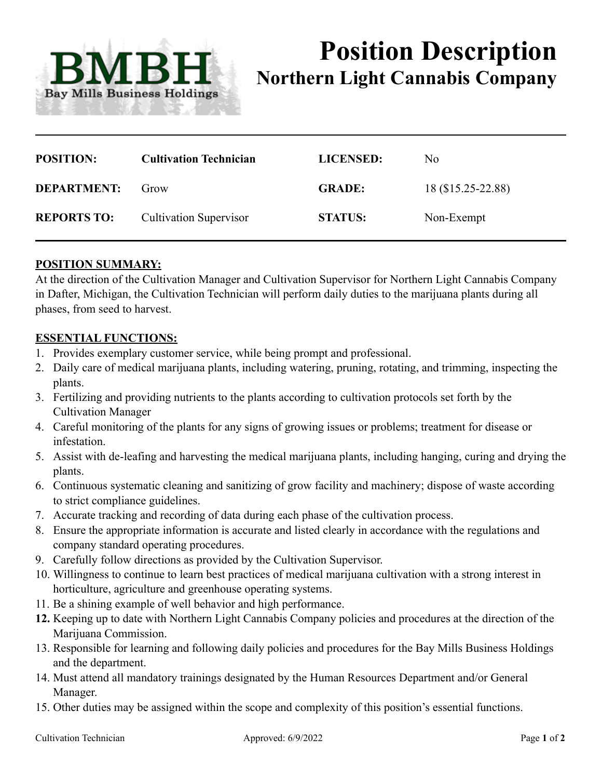

# **Position Description Northern Light Cannabis Company**

| <b>POSITION:</b>   | <b>Cultivation Technician</b> | <b>LICENSED:</b> | No.                |
|--------------------|-------------------------------|------------------|--------------------|
| <b>DEPARTMENT:</b> | Grow                          | <b>GRADE:</b>    | 18 (\$15.25-22.88) |
| <b>REPORTS TO:</b> | <b>Cultivation Supervisor</b> | <b>STATUS:</b>   | Non-Exempt         |

## **POSITION SUMMARY:**

At the direction of the Cultivation Manager and Cultivation Supervisor for Northern Light Cannabis Company in Dafter, Michigan, the Cultivation Technician will perform daily duties to the marijuana plants during all phases, from seed to harvest.

#### **ESSENTIAL FUNCTIONS:**

- 1. Provides exemplary customer service, while being prompt and professional.
- 2. Daily care of medical marijuana plants, including watering, pruning, rotating, and trimming, inspecting the plants.
- 3. Fertilizing and providing nutrients to the plants according to cultivation protocols set forth by the Cultivation Manager
- 4. Careful monitoring of the plants for any signs of growing issues or problems; treatment for disease or infestation.
- 5. Assist with de-leafing and harvesting the medical marijuana plants, including hanging, curing and drying the plants.
- 6. Continuous systematic cleaning and sanitizing of grow facility and machinery; dispose of waste according to strict compliance guidelines.
- 7. Accurate tracking and recording of data during each phase of the cultivation process.
- 8. Ensure the appropriate information is accurate and listed clearly in accordance with the regulations and company standard operating procedures.
- 9. Carefully follow directions as provided by the Cultivation Supervisor.
- 10. Willingness to continue to learn best practices of medical marijuana cultivation with a strong interest in horticulture, agriculture and greenhouse operating systems.
- 11. Be a shining example of well behavior and high performance.
- **12.** Keeping up to date with Northern Light Cannabis Company policies and procedures at the direction of the Marijuana Commission.
- 13. Responsible for learning and following daily policies and procedures for the Bay Mills Business Holdings and the department.
- 14. Must attend all mandatory trainings designated by the Human Resources Department and/or General Manager.
- 15. Other duties may be assigned within the scope and complexity of this position's essential functions.